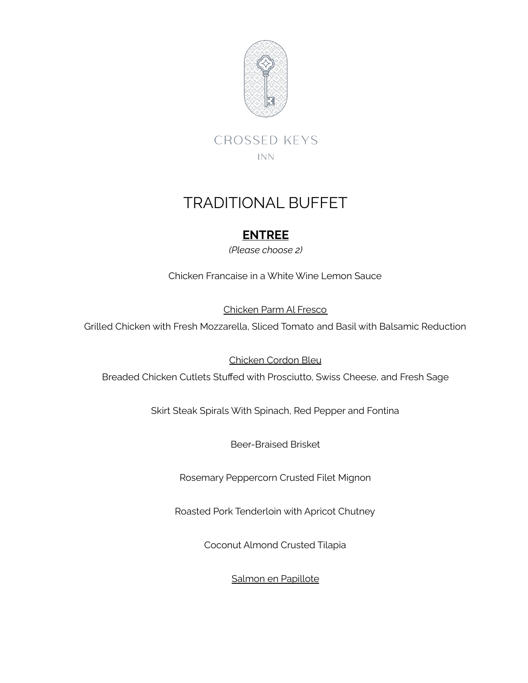

**CROSSED KEYS** INN.

# TRADITIONAL BUFFET

## **ENTREE**

*(Please choose 2)*

Chicken Francaise in a White Wine Lemon Sauce

Chicken Parm Al Fresco

Grilled Chicken with Fresh Mozzarella, Sliced Tomato and Basil with Balsamic Reduction

Chicken Cordon Bleu

Breaded Chicken Cutlets Stuffed with Prosciutto, Swiss Cheese, and Fresh Sage

Skirt Steak Spirals With Spinach, Red Pepper and Fontina

Beer-Braised Brisket

Rosemary Peppercorn Crusted Filet Mignon

Roasted Pork Tenderloin with Apricot Chutney

Coconut Almond Crusted Tilapia

Salmon en Papillote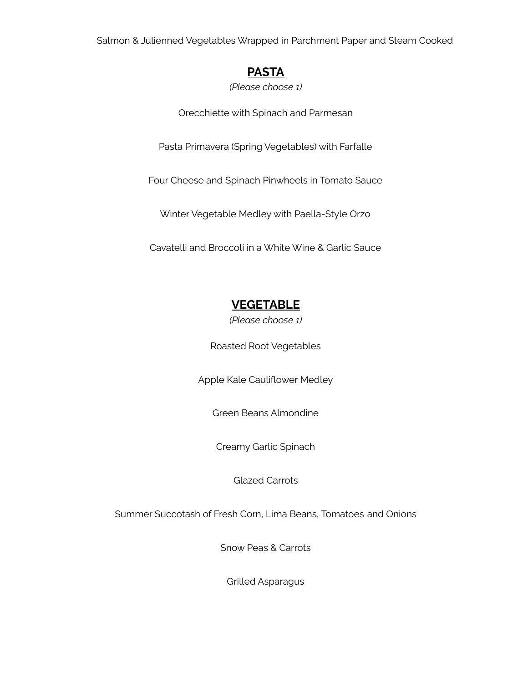Salmon & Julienned Vegetables Wrapped in Parchment Paper and Steam Cooked

#### **PASTA**

*(Please choose 1)*

Orecchiette with Spinach and Parmesan

Pasta Primavera (Spring Vegetables) with Farfalle

Four Cheese and Spinach Pinwheels in Tomato Sauce

Winter Vegetable Medley with Paella-Style Orzo

Cavatelli and Broccoli in a White Wine & Garlic Sauce

## **VEGETABLE**

*(Please choose 1)*

Roasted Root Vegetables

Apple Kale Cauliflower Medley

Green Beans Almondine

Creamy Garlic Spinach

Glazed Carrots

Summer Succotash of Fresh Corn, Lima Beans, Tomatoes and Onions

Snow Peas & Carrots

Grilled Asparagus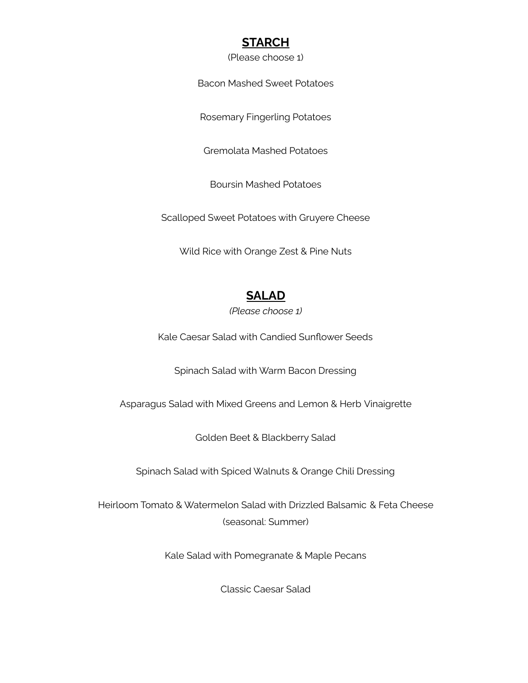#### **STARCH**

#### (Please choose 1)

Bacon Mashed Sweet Potatoes

Rosemary Fingerling Potatoes

Gremolata Mashed Potatoes

Boursin Mashed Potatoes

Scalloped Sweet Potatoes with Gruyere Cheese

Wild Rice with Orange Zest & Pine Nuts

#### **SALAD**

*(Please choose 1)*

Kale Caesar Salad with Candied Sunflower Seeds

Spinach Salad with Warm Bacon Dressing

Asparagus Salad with Mixed Greens and Lemon & Herb Vinaigrette

Golden Beet & Blackberry Salad

Spinach Salad with Spiced Walnuts & Orange Chili Dressing

Heirloom Tomato & Watermelon Salad with Drizzled Balsamic & Feta Cheese (seasonal: Summer)

Kale Salad with Pomegranate & Maple Pecans

Classic Caesar Salad